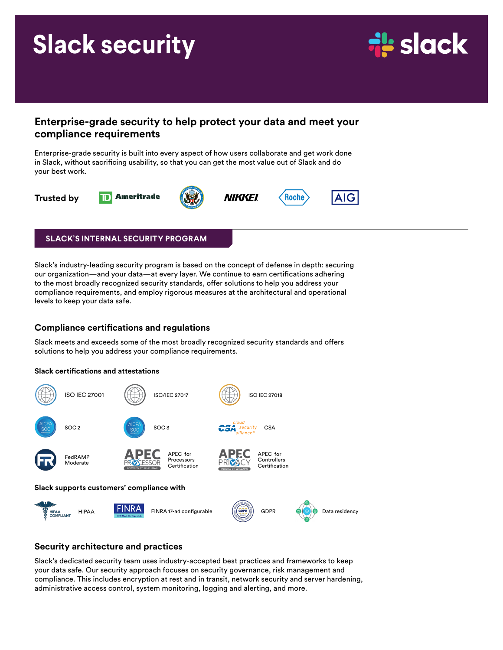# **Slack security**



## **Enterprise-grade security to help protect your data and meet your compliance requirements**

Enterprise-grade security is built into every aspect of how users collaborate and get work done in Slack, without sacrificing usability, so that you can get the most value out of Slack and do your best work.



## **SLACK'S INTERNAL SECURITY PROGRAM**

Slack's industry-leading security program is based on the concept of defense in depth: securing our organization—and your data—at every layer. We continue to earn certifications adhering to the most broadly recognized security standards, offer solutions to help you address your compliance requirements, and employ rigorous measures at the architectural and operational levels to keep your data safe.

## **Compliance certifications and regulations**

Slack meets and exceeds some of the most broadly recognized security standards and offers solutions to help you address your compliance requirements.

#### **Slack certifications and attestations**



## **Security architecture and practices**

Slack's dedicated security team uses industry-accepted best practices and frameworks to keep your data safe. Our security approach focuses on security governance, risk management and compliance. This includes encryption at rest and in transit, network security and server hardening, administrative access control, system monitoring, logging and alerting, and more.